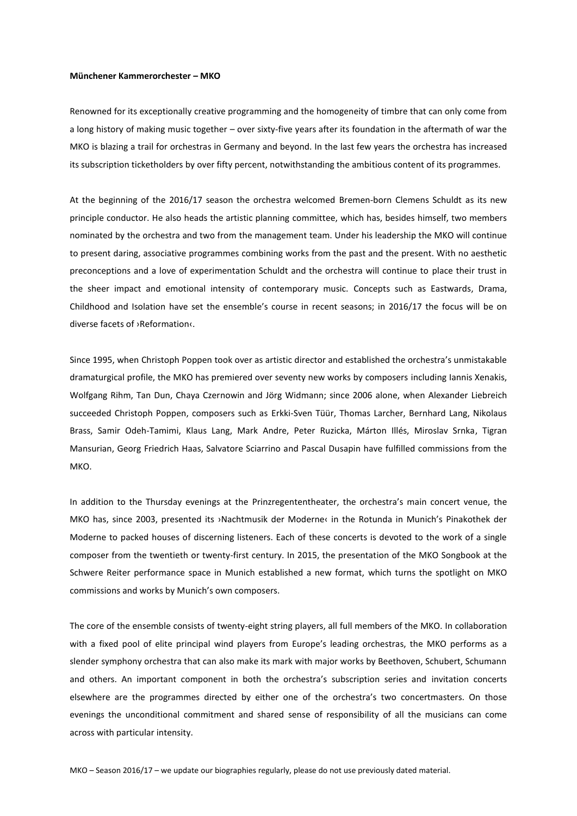## **Münchener Kammerorchester – MKO**

Renowned for its exceptionally creative programming and the homogeneity of timbre that can only come from a long history of making music together – over sixty-five years after its foundation in the aftermath of war the MKO is blazing a trail for orchestras in Germany and beyond. In the last few years the orchestra has increased its subscription ticketholders by over fifty percent, notwithstanding the ambitious content of its programmes.

At the beginning of the 2016/17 season the orchestra welcomed Bremen-born Clemens Schuldt as its new principle conductor. He also heads the artistic planning committee, which has, besides himself, two members nominated by the orchestra and two from the management team. Under his leadership the MKO will continue to present daring, associative programmes combining works from the past and the present. With no aesthetic preconceptions and a love of experimentation Schuldt and the orchestra will continue to place their trust in the sheer impact and emotional intensity of contemporary music. Concepts such as Eastwards, Drama, Childhood and Isolation have set the ensemble's course in recent seasons; in 2016/17 the focus will be on diverse facets of ›Reformation‹.

Since 1995, when Christoph Poppen took over as artistic director and established the orchestra's unmistakable dramaturgical profile, the MKO has premiered over seventy new works by composers including Iannis Xenakis, Wolfgang Rihm, Tan Dun, Chaya Czernowin and Jörg Widmann; since 2006 alone, when Alexander Liebreich succeeded Christoph Poppen, composers such as Erkki-Sven Tüür, Thomas Larcher, Bernhard Lang, Nikolaus Brass, Samir Odeh-Tamimi, Klaus Lang, Mark Andre, Peter Ruzicka, Márton Illés, Miroslav Srnka, Tigran Mansurian, Georg Friedrich Haas, Salvatore Sciarrino and Pascal Dusapin have fulfilled commissions from the MKO.

In addition to the Thursday evenings at the Prinzregententheater, the orchestra's main concert venue, the MKO has, since 2003, presented its ›Nachtmusik der Moderne‹ in the Rotunda in Munich's Pinakothek der Moderne to packed houses of discerning listeners. Each of these concerts is devoted to the work of a single composer from the twentieth or twenty-first century. In 2015, the presentation of the MKO Songbook at the Schwere Reiter performance space in Munich established a new format, which turns the spotlight on MKO commissions and works by Munich's own composers.

The core of the ensemble consists of twenty-eight string players, all full members of the MKO. In collaboration with a fixed pool of elite principal wind players from Europe's leading orchestras, the MKO performs as a slender symphony orchestra that can also make its mark with major works by Beethoven, Schubert, Schumann and others. An important component in both the orchestra's subscription series and invitation concerts elsewhere are the programmes directed by either one of the orchestra's two concertmasters. On those evenings the unconditional commitment and shared sense of responsibility of all the musicians can come across with particular intensity.